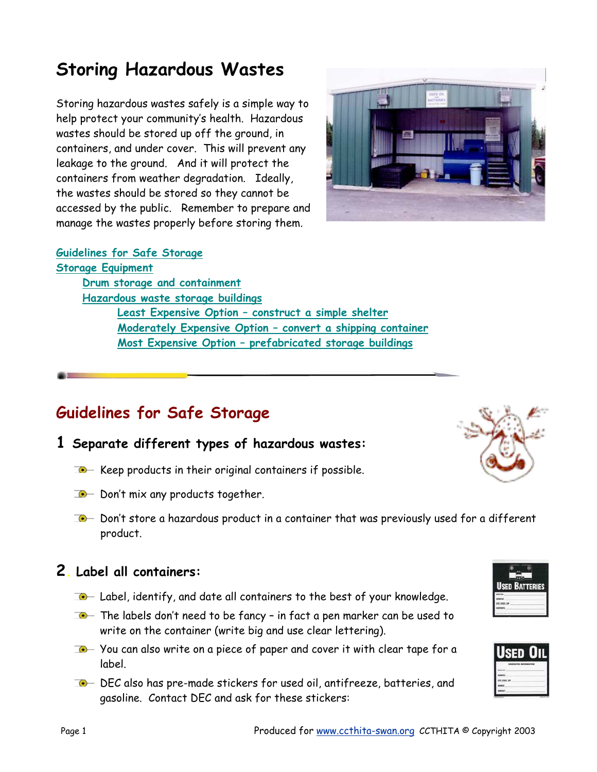# **Storing Hazardous Wastes**

Storing hazardous wastes safely is a simple way to help protect your community's health. Hazardous wastes should be stored up off the ground, in containers, and under cover. This will prevent any leakage to the ground. And it will protect the containers from weather degradation. Ideally, the wastes should be stored so they cannot be accessed by the public. Remember to prepare and manage the wastes properly before storing them.

### **Guidelines for Safe Storage**

**Storage Equipment Drum storage and containment Hazardous waste storage buildings Least Expensive Option – construct a simple shelter Moderately Expensive Option – convert a shipping container Most Expensive Option – prefabricated storage buildings**

# **Guidelines for Safe Storage**

- **1 Separate different types of hazardous wastes:** 
	- $\Box$  Keep products in their original containers if possible.
	- $\Box$  Don't mix any products together.
	- $\Box$  Don't store a hazardous product in a container that was previously used for a different product.

# **2. Label all containers:**

- $\Box$  Label, identify, and date all containers to the best of your knowledge.
- $T$  The labels don't need to be fancy in fact a pen marker can be used to write on the container (write big and use clear lettering).
- $\Box$  You can also write on a piece of paper and cover it with clear tape for a label.
- $\Box$  DEC also has pre-made stickers for used oil, antifreeze, batteries, and gasoline. Contact DEC and ask for these stickers:



Used Batteries



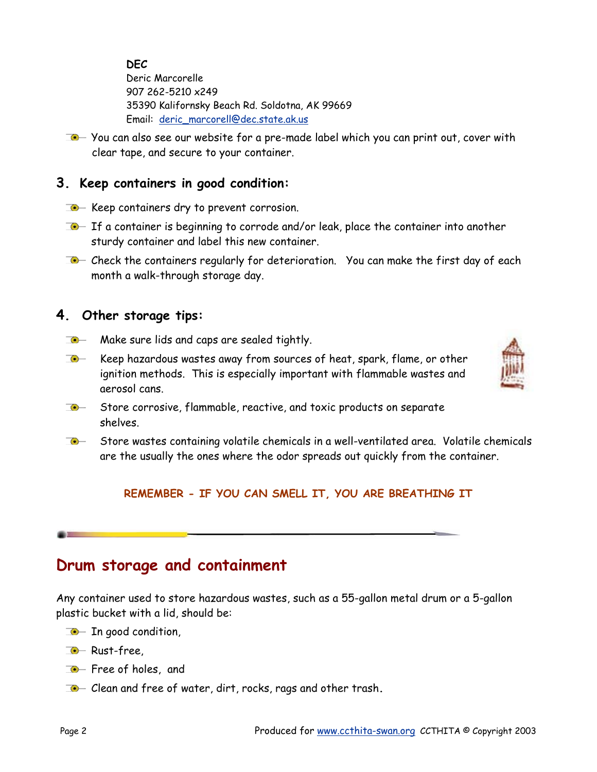**DEC** Deric Marcorelle 907 262-5210 x249 35390 Kalifornsky Beach Rd. Soldotna, AK 99669 Email: deric\_marcorell@dec.state.ak.us

 $\Box$  You can also see our website for a pre-made label which you can print out, cover with clear tape, and secure to your container.

# **3. Keep containers in good condition:**

- $\bullet$  Keep containers dry to prevent corrosion.
- $\Box$  If a container is beginning to corrode and/or leak, place the container into another sturdy container and label this new container.
- $\Box$  Check the containers regularly for deterioration. You can make the first day of each month a walk-through storage day.

## **4. Other storage tips:**

- $\Box$  Make sure lids and caps are sealed tightly.
- $\bullet$ Keep hazardous wastes away from sources of heat, spark, flame, or other ignition methods. This is especially important with flammable wastes and aerosol cans.



- $\bullet$ Store corrosive, flammable, reactive, and toxic products on separate shelves.
- $\Box$  Store wastes containing volatile chemicals in a well-ventilated area. Volatile chemicals are the usually the ones where the odor spreads out quickly from the container.

### **REMEMBER - IF YOU CAN SMELL IT, YOU ARE BREATHING IT**

# **Drum storage and containment**

Any container used to store hazardous wastes, such as a 55-gallon metal drum or a 5-gallon plastic bucket with a lid, should be:

- $\bullet$  In good condition,
- **C** Rust-free,
- $\bullet$  Free of holes, and
- Clean and free of water, dirt, rocks, rags and other trash**.**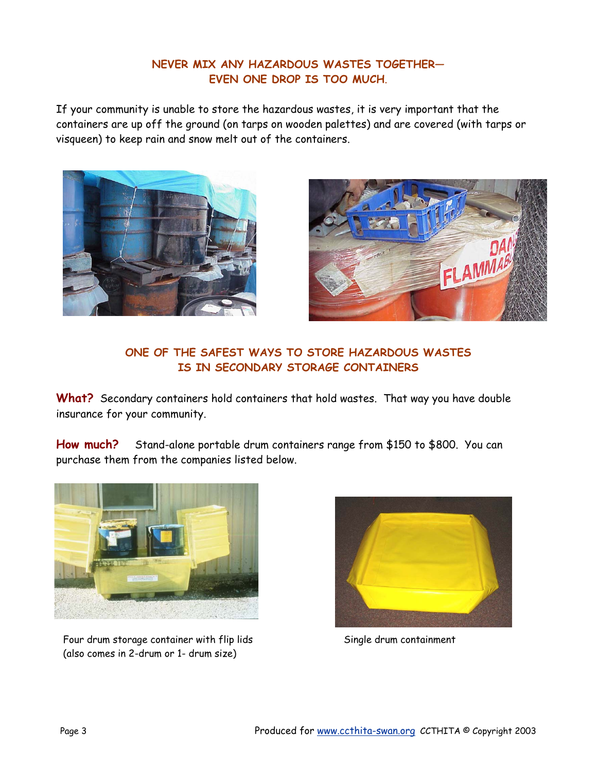### **NEVER MIX ANY HAZARDOUS WASTES TOGETHER— EVEN ONE DROP IS TOO MUCH**.

If your community is unable to store the hazardous wastes, it is very important that the containers are up off the ground (on tarps on wooden palettes) and are covered (with tarps or visqueen) to keep rain and snow melt out of the containers.





### **ONE OF THE SAFEST WAYS TO STORE HAZARDOUS WASTES IS IN SECONDARY STORAGE CONTAINERS**

**What?** Secondary containers hold containers that hold wastes. That way you have double insurance for your community.

**How much?** Stand-alone portable drum containers range from \$150 to \$800. You can purchase them from the companies listed below.



Four drum storage container with flip lids Single drum containment (also comes in 2-drum or 1- drum size)

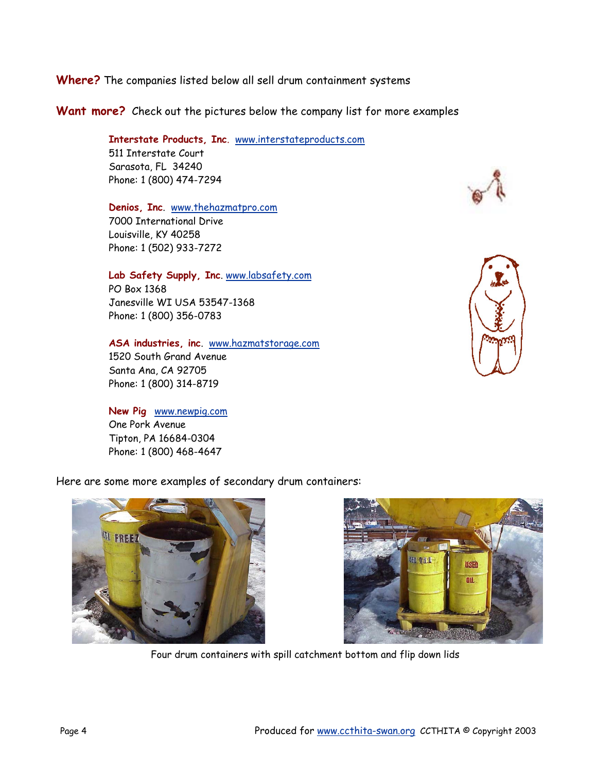### **Where?** The companies listed below all sell drum containment systems

### **Want more?** Check out the pictures below the company list for more examples

#### **Interstate Products, Inc**. www.interstateproducts.com 511 Interstate Court Sarasota, FL 34240

### **Denios, Inc**. www.thehazmatpro.com 7000 International Drive Louisville, KY 40258 Phone: 1 (502) 933-7272

Phone: 1 (800) 474-7294

#### **Lab Safety Supply, Inc**. www.labsafety.com

PO Box 1368 Janesville WI USA 53547-1368 Phone: 1 (800) 356-0783

#### **ASA industries, inc**. www.hazmatstorage.com

1520 South Grand Avenue Santa Ana, CA 92705 Phone: 1 (800) 314-8719

#### **New Pig** www.newpig.com

One Pork Avenue Tipton, PA 16684-0304 Phone: 1 (800) 468-4647





#### Here are some more examples of secondary drum containers:





Four drum containers with spill catchment bottom and flip down lids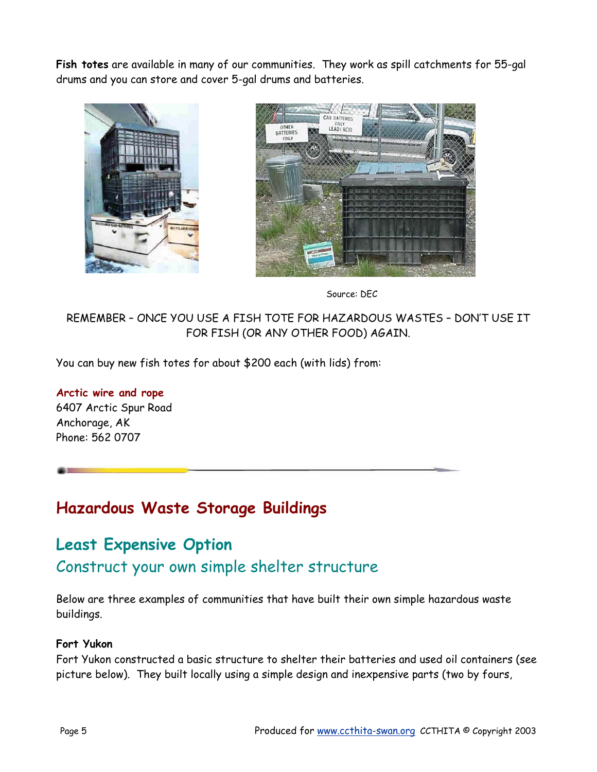**Fish totes** are available in many of our communities. They work as spill catchments for 55-gal drums and you can store and cover 5-gal drums and batteries.





Source: DEC

### REMEMBER – ONCE YOU USE A FISH TOTE FOR HAZARDOUS WASTES – DON'T USE IT FOR FISH (OR ANY OTHER FOOD) AGAIN.

You can buy new fish totes for about \$200 each (with lids) from:

**Arctic wire and rope**  6407 Arctic Spur Road Anchorage, AK Phone: 562 0707

# **Hazardous Waste Storage Buildings**

# **Least Expensive Option**  Construct your own simple shelter structure

Below are three examples of communities that have built their own simple hazardous waste buildings.

### **Fort Yukon**

Fort Yukon constructed a basic structure to shelter their batteries and used oil containers (see picture below). They built locally using a simple design and inexpensive parts (two by fours,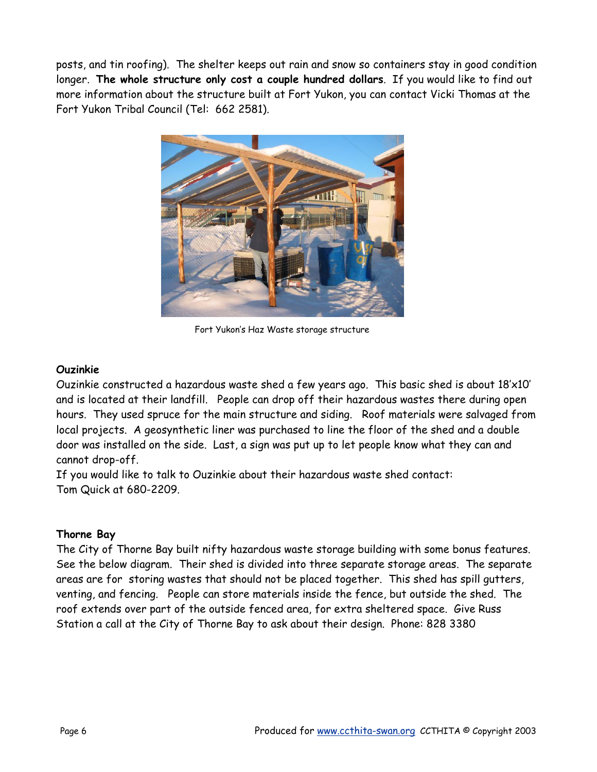posts, and tin roofing). The shelter keeps out rain and snow so containers stay in good condition longer. **The whole structure only cost a couple hundred dollars**. If you would like to find out more information about the structure built at Fort Yukon, you can contact Vicki Thomas at the Fort Yukon Tribal Council (Tel: 662 2581).



Fort Yukon's Haz Waste storage structure

### **Ouzinkie**

Ouzinkie constructed a hazardous waste shed a few years ago. This basic shed is about 18'x10' and is located at their landfill. People can drop off their hazardous wastes there during open hours. They used spruce for the main structure and siding. Roof materials were salvaged from local projects. A geosynthetic liner was purchased to line the floor of the shed and a double door was installed on the side. Last, a sign was put up to let people know what they can and cannot drop-off.

If you would like to talk to Ouzinkie about their hazardous waste shed contact: Tom Quick at 680-2209.

### **Thorne Bay**

The City of Thorne Bay built nifty hazardous waste storage building with some bonus features. See the below diagram. Their shed is divided into three separate storage areas. The separate areas are for storing wastes that should not be placed together. This shed has spill gutters, venting, and fencing. People can store materials inside the fence, but outside the shed. The roof extends over part of the outside fenced area, for extra sheltered space. Give Russ Station a call at the City of Thorne Bay to ask about their design. Phone: 828 3380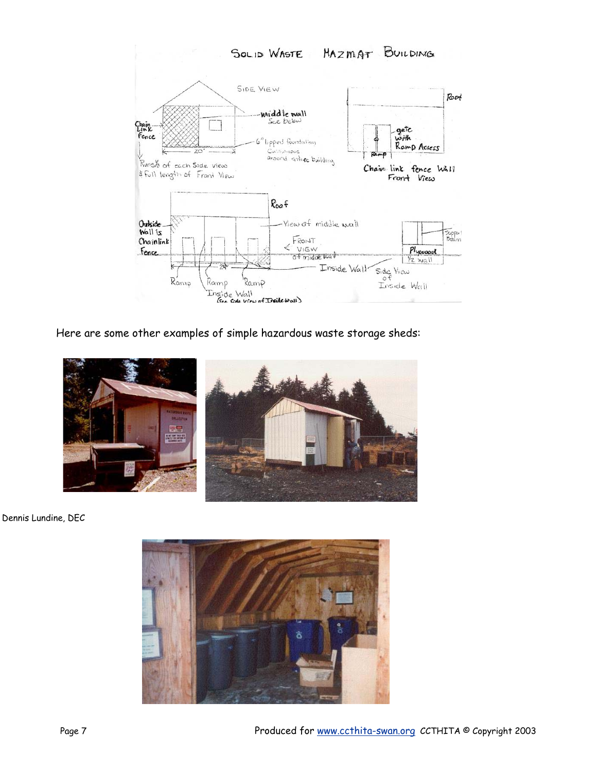

Here are some other examples of simple hazardous waste storage sheds:



Dennis Lundine, DEC

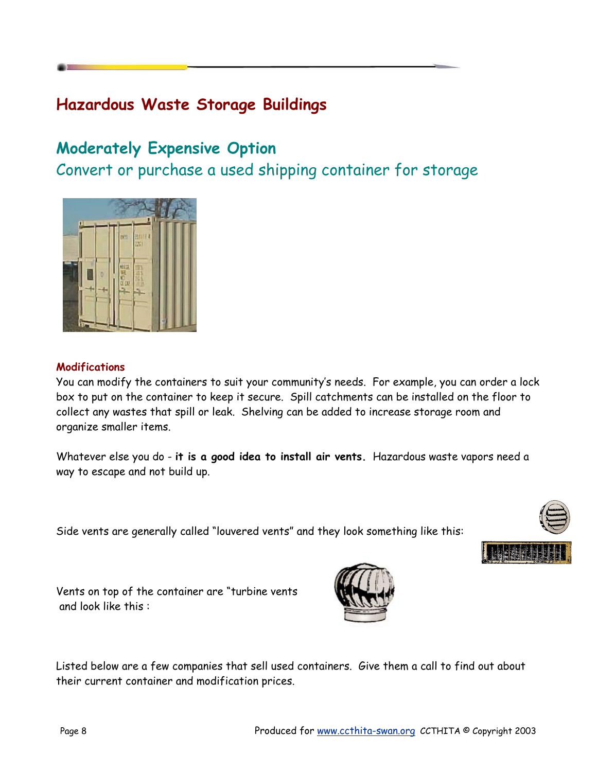# **Hazardous Waste Storage Buildings**

# **Moderately Expensive Option**

Convert or purchase a used shipping container for storage



### **Modifications**

You can modify the containers to suit your community's needs. For example, you can order a lock box to put on the container to keep it secure. Spill catchments can be installed on the floor to collect any wastes that spill or leak. Shelving can be added to increase storage room and organize smaller items.

Whatever else you do - **it is a good idea to install air vents.** Hazardous waste vapors need a way to escape and not build up.

Side vents are generally called "louvered vents" and they look something like this:





Vents on top of the container are "turbine vents and look like this :



Listed below are a few companies that sell used containers. Give them a call to find out about their current container and modification prices.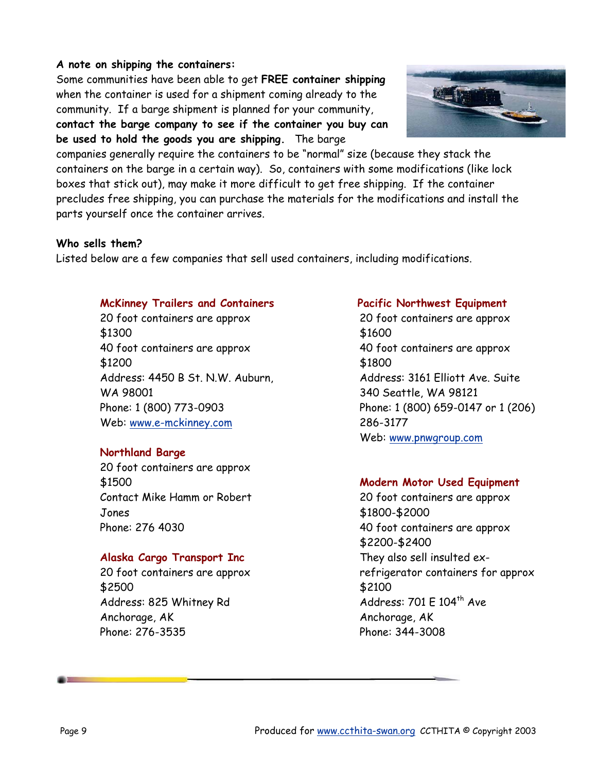### **A note on shipping the containers:**

Some communities have been able to get **FREE container shipping**  when the container is used for a shipment coming already to the community. If a barge shipment is planned for your community, **contact the barge company to see if the container you buy can** 

**be used to hold the goods you are shipping.** The barge



companies generally require the containers to be "normal" size (because they stack the containers on the barge in a certain way). So, containers with some modifications (like lock boxes that stick out), may make it more difficult to get free shipping. If the container precludes free shipping, you can purchase the materials for the modifications and install the parts yourself once the container arrives.

### **Who sells them?**

Listed below are a few companies that sell used containers, including modifications.

### **McKinney Trailers and Containers**

20 foot containers are approx \$1300 40 foot containers are approx \$1200 Address: 4450 B St. N.W. Auburn, WA 98001 Phone: 1 (800) 773-0903 Web: www.e-mckinney.com

### **Northland Barge**

20 foot containers are approx \$1500 Contact Mike Hamm or Robert Jones Phone: 276 4030

### **Alaska Cargo Transport Inc**

20 foot containers are approx \$2500 Address: 825 Whitney Rd Anchorage, AK Phone: 276-3535

#### **Pacific Northwest Equipment**

20 foot containers are approx \$1600 40 foot containers are approx \$1800 Address: 3161 Elliott Ave. Suite 340 Seattle, WA 98121 Phone: 1 (800) 659-0147 or 1 (206) 286-3177 Web: www.pnwgroup.com

### **Modern Motor Used Equipment**

20 foot containers are approx \$1800-\$2000 40 foot containers are approx \$2200-\$2400 They also sell insulted exrefrigerator containers for approx \$2100 Address:  $701 \text{ E } 104^{\text{th}}$  Ave Anchorage, AK Phone: 344-3008